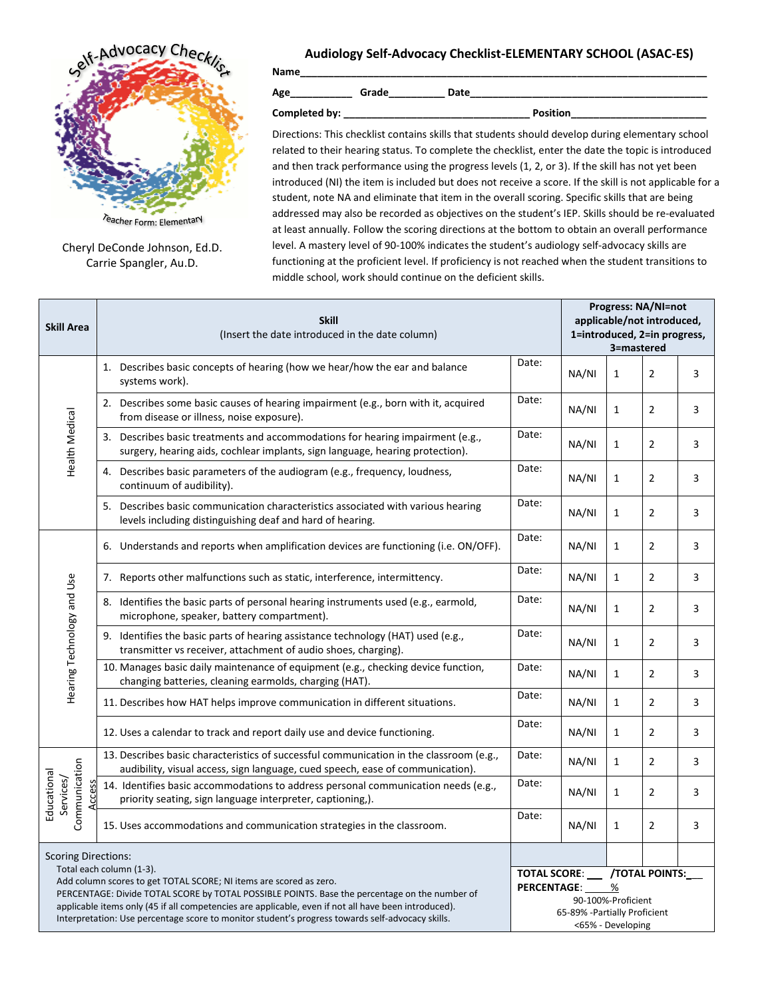

Cheryl DeConde Johnson, Ed.D. Carrie Spangler, Au.D.

## **Audiology Self-Advocacy Checklist-ELEMENTARY SCHOOL (ASAC-ES)**

**Name\_\_\_\_\_\_\_\_\_\_\_\_\_\_\_\_\_\_\_\_\_\_\_\_\_\_\_\_\_\_\_\_\_\_\_\_\_\_\_\_\_\_\_\_\_\_\_\_\_\_\_\_\_\_\_\_\_\_\_\_\_\_\_\_\_\_\_\_\_\_\_\_**

**Age\_\_\_\_\_\_\_\_\_\_\_ Grade\_\_\_\_\_\_\_\_\_\_ Date\_\_\_\_\_\_\_\_\_\_\_\_\_\_\_\_\_\_\_\_\_\_\_\_\_\_\_\_\_\_\_\_\_\_\_\_\_\_\_\_\_\_** 

**Completed by: \_\_\_\_\_\_\_\_\_\_\_\_\_\_\_\_\_\_\_\_\_\_\_\_\_\_\_\_\_\_\_\_\_ Position\_\_\_\_\_\_\_\_\_\_\_\_\_\_\_\_\_\_\_\_\_\_\_\_**

Directions: This checklist contains skills that students should develop during elementary school related to their hearing status. To complete the checklist, enter the date the topic is introduced and then track performance using the progress levels (1, 2, or 3). If the skill has not yet been introduced (NI) the item is included but does not receive a score. If the skill is not applicable for a student, note NA and eliminate that item in the overall scoring. Specific skills that are being addressed may also be recorded as objectives on the student's IEP. Skills should be re-evaluated at least annually. Follow the scoring directions at the bottom to obtain an overall performance level. A mastery level of 90-100% indicates the student's audiology self-advocacy skills are functioning at the proficient level. If proficiency is not reached when the student transitions to middle school, work should continue on the deficient skills.

| <b>Skill Area</b>                                                                                                                                                                                                                                                                                                                                                                                           | <b>Skill</b><br>(Insert the date introduced in the date column)                                                                                                           |                    |                                                                                                              | Progress: NA/NI=not<br>applicable/not introduced,<br>1=introduced, 2=in progress,<br>3=mastered |                |   |  |  |
|-------------------------------------------------------------------------------------------------------------------------------------------------------------------------------------------------------------------------------------------------------------------------------------------------------------------------------------------------------------------------------------------------------------|---------------------------------------------------------------------------------------------------------------------------------------------------------------------------|--------------------|--------------------------------------------------------------------------------------------------------------|-------------------------------------------------------------------------------------------------|----------------|---|--|--|
| Health Medical                                                                                                                                                                                                                                                                                                                                                                                              | 1. Describes basic concepts of hearing (how we hear/how the ear and balance<br>systems work).                                                                             | Date:              | NA/NI                                                                                                        | $\mathbf{1}$                                                                                    | $\overline{2}$ | 3 |  |  |
|                                                                                                                                                                                                                                                                                                                                                                                                             | 2. Describes some basic causes of hearing impairment (e.g., born with it, acquired<br>from disease or illness, noise exposure).                                           | Date:              | NA/NI                                                                                                        | $\mathbf{1}$                                                                                    | $\overline{2}$ | 3 |  |  |
|                                                                                                                                                                                                                                                                                                                                                                                                             | 3. Describes basic treatments and accommodations for hearing impairment (e.g.,<br>surgery, hearing aids, cochlear implants, sign language, hearing protection).           | Date:              | NA/NI                                                                                                        | $\mathbf{1}$                                                                                    | $\overline{2}$ | 3 |  |  |
|                                                                                                                                                                                                                                                                                                                                                                                                             | 4. Describes basic parameters of the audiogram (e.g., frequency, loudness,<br>continuum of audibility).                                                                   | Date:              | NA/NI                                                                                                        | $\mathbf{1}$                                                                                    | $\overline{2}$ | 3 |  |  |
|                                                                                                                                                                                                                                                                                                                                                                                                             | 5. Describes basic communication characteristics associated with various hearing<br>levels including distinguishing deaf and hard of hearing.                             | Date:              | NA/NI                                                                                                        | $\mathbf{1}$                                                                                    | $\overline{2}$ | 3 |  |  |
|                                                                                                                                                                                                                                                                                                                                                                                                             | 6. Understands and reports when amplification devices are functioning (i.e. ON/OFF).                                                                                      | Date:              | NA/NI                                                                                                        | $\mathbf{1}$                                                                                    | $\overline{2}$ | 3 |  |  |
| Hearing Technology and Use                                                                                                                                                                                                                                                                                                                                                                                  | 7. Reports other malfunctions such as static, interference, intermittency.                                                                                                | Date:              | NA/NI                                                                                                        | $\mathbf{1}$                                                                                    | $\overline{2}$ | 3 |  |  |
|                                                                                                                                                                                                                                                                                                                                                                                                             | 8. Identifies the basic parts of personal hearing instruments used (e.g., earmold,<br>microphone, speaker, battery compartment).                                          | Date:              | NA/NI                                                                                                        | $\mathbf{1}$                                                                                    | $\overline{2}$ | 3 |  |  |
|                                                                                                                                                                                                                                                                                                                                                                                                             | 9. Identifies the basic parts of hearing assistance technology (HAT) used (e.g.,<br>transmitter vs receiver, attachment of audio shoes, charging).                        | Date:              | NA/NI                                                                                                        | $\mathbf{1}$                                                                                    | $\overline{2}$ | 3 |  |  |
|                                                                                                                                                                                                                                                                                                                                                                                                             | 10. Manages basic daily maintenance of equipment (e.g., checking device function,<br>changing batteries, cleaning earmolds, charging (HAT).                               | Date:              | NA/NI                                                                                                        | $\mathbf{1}$                                                                                    | $\overline{2}$ | 3 |  |  |
|                                                                                                                                                                                                                                                                                                                                                                                                             | 11. Describes how HAT helps improve communication in different situations.                                                                                                | Date:              | NA/NI                                                                                                        | $\mathbf{1}$                                                                                    | $\overline{2}$ | 3 |  |  |
|                                                                                                                                                                                                                                                                                                                                                                                                             | 12. Uses a calendar to track and report daily use and device functioning.                                                                                                 | Date:              | NA/NI                                                                                                        | $\mathbf{1}$                                                                                    | $\overline{2}$ | 3 |  |  |
|                                                                                                                                                                                                                                                                                                                                                                                                             | 13. Describes basic characteristics of successful communication in the classroom (e.g.,<br>audibility, visual access, sign language, cued speech, ease of communication). | Date:              | NA/NI                                                                                                        | $\mathbf{1}$                                                                                    | $\overline{2}$ | 3 |  |  |
| Communication<br>Educational<br>Services/<br>Access                                                                                                                                                                                                                                                                                                                                                         | 14. Identifies basic accommodations to address personal communication needs (e.g.,<br>priority seating, sign language interpreter, captioning,).                          | Date:              | NA/NI                                                                                                        | $\mathbf{1}$                                                                                    | $\overline{2}$ | 3 |  |  |
|                                                                                                                                                                                                                                                                                                                                                                                                             | 15. Uses accommodations and communication strategies in the classroom.                                                                                                    | Date:              | NA/NI                                                                                                        | $\mathbf{1}$                                                                                    | $\overline{2}$ | 3 |  |  |
| <b>Scoring Directions:</b>                                                                                                                                                                                                                                                                                                                                                                                  |                                                                                                                                                                           |                    |                                                                                                              |                                                                                                 |                |   |  |  |
| Total each column (1-3).<br>Add column scores to get TOTAL SCORE; NI items are scored as zero.<br>PERCENTAGE: Divide TOTAL SCORE by TOTAL POSSIBLE POINTS. Base the percentage on the number of<br>applicable items only (45 if all competencies are applicable, even if not all have been introduced).<br>Interpretation: Use percentage score to monitor student's progress towards self-advocacy skills. |                                                                                                                                                                           | <b>PERCENTAGE:</b> | TOTAL SCORE: /TOTAL POINTS:<br>%<br>90-100%-Proficient<br>65-89% - Partially Proficient<br><65% - Developing |                                                                                                 |                |   |  |  |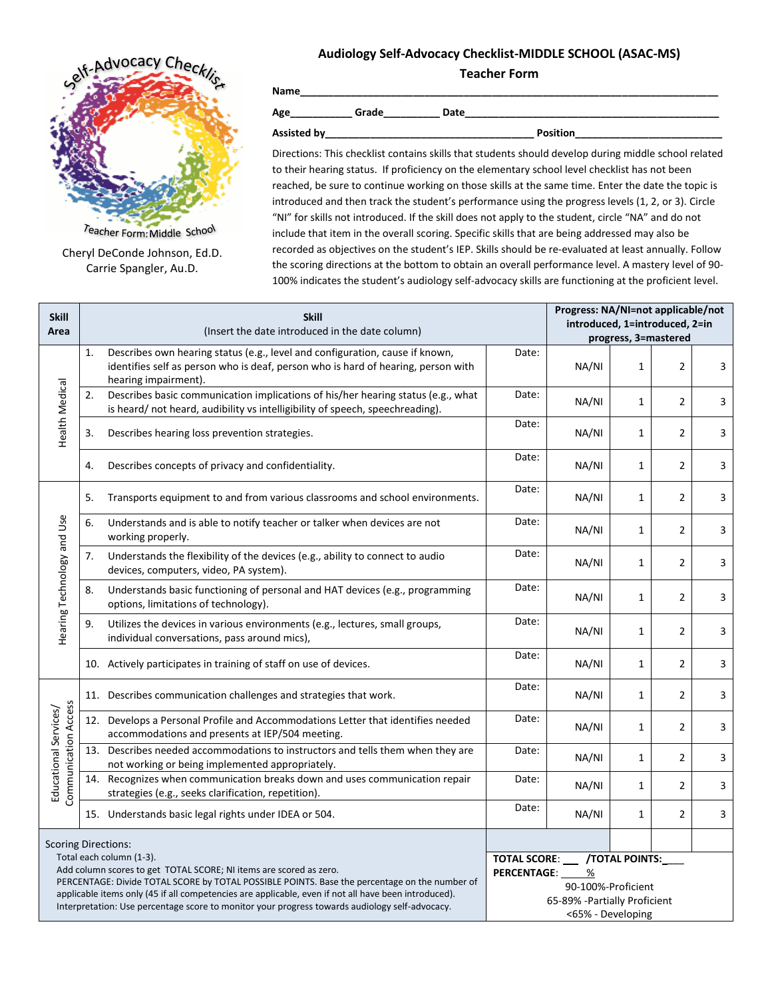## **Audiology Self-Advocacy Checklist-MIDDLE SCHOOL (ASAC-MS) Teacher Form**



Teacher Form: Middle School Cheryl DeConde Johnson, Ed.D. Carrie Spangler, Au.D.

**Name\_\_\_\_\_\_\_\_\_\_\_\_\_\_\_\_\_\_\_\_\_\_\_\_\_\_\_\_\_\_\_\_\_\_\_\_\_\_\_\_\_\_\_\_\_\_\_\_\_\_\_\_\_\_\_\_\_\_\_\_\_\_\_\_\_\_\_\_\_\_\_\_\_\_**

**Age\_\_\_\_\_\_\_\_\_\_\_ Grade\_\_\_\_\_\_\_\_\_\_ Date\_\_\_\_\_\_\_\_\_\_\_\_\_\_\_\_\_\_\_\_\_\_\_\_\_\_\_\_\_\_\_\_\_\_\_\_\_\_\_\_\_\_\_\_\_** 

**Assisted by\_\_\_\_\_\_\_\_\_\_\_\_\_\_\_\_\_\_\_\_\_\_\_\_\_\_\_\_\_\_\_\_\_\_\_\_\_ Position\_\_\_\_\_\_\_\_\_\_\_\_\_\_\_\_\_\_\_\_\_\_\_\_\_\_**

Directions: This checklist contains skills that students should develop during middle school related to their hearing status. If proficiency on the elementary school level checklist has not been reached, be sure to continue working on those skills at the same time. Enter the date the topic is introduced and then track the student's performance using the progress levels (1, 2, or 3). Circle "NI" for skills not introduced. If the skill does not apply to the student, circle "NA" and do not include that item in the overall scoring. Specific skills that are being addressed may also be recorded as objectives on the student's IEP. Skills should be re-evaluated at least annually. Follow the scoring directions at the bottom to obtain an overall performance level. A mastery level of 90- 100% indicates the student's audiology self-advocacy skills are functioning at the proficient level.

| <b>Skill</b>                                                                                                                                                                                                                                                                                                                                                                                                                            | <b>Skill</b> |                                                                                                                                                                                           |       | Progress: NA/NI=not applicable/not<br>introduced, 1=introduced, 2=in |                      |                |   |  |  |
|-----------------------------------------------------------------------------------------------------------------------------------------------------------------------------------------------------------------------------------------------------------------------------------------------------------------------------------------------------------------------------------------------------------------------------------------|--------------|-------------------------------------------------------------------------------------------------------------------------------------------------------------------------------------------|-------|----------------------------------------------------------------------|----------------------|----------------|---|--|--|
| Area                                                                                                                                                                                                                                                                                                                                                                                                                                    |              | (Insert the date introduced in the date column)                                                                                                                                           |       |                                                                      | progress, 3=mastered |                |   |  |  |
| Health Medical                                                                                                                                                                                                                                                                                                                                                                                                                          | 1.           | Describes own hearing status (e.g., level and configuration, cause if known,<br>identifies self as person who is deaf, person who is hard of hearing, person with<br>hearing impairment). | Date: | NA/NI                                                                | $\mathbf{1}$         | $\overline{2}$ | 3 |  |  |
|                                                                                                                                                                                                                                                                                                                                                                                                                                         | 2.           | Describes basic communication implications of his/her hearing status (e.g., what<br>is heard/not heard, audibility vs intelligibility of speech, speechreading).                          | Date: | NA/NI                                                                | $\mathbf{1}$         | $\overline{2}$ | 3 |  |  |
|                                                                                                                                                                                                                                                                                                                                                                                                                                         | 3.           | Describes hearing loss prevention strategies.                                                                                                                                             | Date: | NA/NI                                                                | $\mathbf{1}$         | $\overline{2}$ | 3 |  |  |
|                                                                                                                                                                                                                                                                                                                                                                                                                                         | 4.           | Describes concepts of privacy and confidentiality.                                                                                                                                        | Date: | NA/NI                                                                | $\mathbf{1}$         | $\overline{2}$ | 3 |  |  |
| Hearing Technology and Use                                                                                                                                                                                                                                                                                                                                                                                                              | 5.           | Transports equipment to and from various classrooms and school environments.                                                                                                              | Date: | NA/NI                                                                | $\mathbf{1}$         | $\overline{2}$ | 3 |  |  |
|                                                                                                                                                                                                                                                                                                                                                                                                                                         | 6.           | Understands and is able to notify teacher or talker when devices are not<br>working properly.                                                                                             | Date: | NA/NI                                                                | $\mathbf{1}$         | 2              | 3 |  |  |
|                                                                                                                                                                                                                                                                                                                                                                                                                                         | 7.           | Understands the flexibility of the devices (e.g., ability to connect to audio<br>devices, computers, video, PA system).                                                                   | Date: | NA/NI                                                                | 1                    | $\overline{2}$ | 3 |  |  |
|                                                                                                                                                                                                                                                                                                                                                                                                                                         | 8.           | Understands basic functioning of personal and HAT devices (e.g., programming<br>options, limitations of technology).                                                                      | Date: | NA/NI                                                                | $\mathbf{1}$         | 2              | 3 |  |  |
|                                                                                                                                                                                                                                                                                                                                                                                                                                         | 9.           | Utilizes the devices in various environments (e.g., lectures, small groups,<br>individual conversations, pass around mics),                                                               | Date: | NA/NI                                                                | $\mathbf{1}$         | 2              | 3 |  |  |
|                                                                                                                                                                                                                                                                                                                                                                                                                                         |              | 10. Actively participates in training of staff on use of devices.                                                                                                                         | Date: | NA/NI                                                                | $\mathbf{1}$         | $\overline{2}$ | 3 |  |  |
| Communication Access<br>Educational Services/                                                                                                                                                                                                                                                                                                                                                                                           |              | 11. Describes communication challenges and strategies that work.                                                                                                                          | Date: | NA/NI                                                                | $\mathbf{1}$         | 2              | 3 |  |  |
|                                                                                                                                                                                                                                                                                                                                                                                                                                         |              | 12. Develops a Personal Profile and Accommodations Letter that identifies needed<br>accommodations and presents at IEP/504 meeting.                                                       | Date: | NA/NI                                                                | $\mathbf{1}$         | $\overline{2}$ | 3 |  |  |
|                                                                                                                                                                                                                                                                                                                                                                                                                                         |              | 13. Describes needed accommodations to instructors and tells them when they are<br>not working or being implemented appropriately.                                                        | Date: | NA/NI                                                                | $\mathbf{1}$         | $\overline{2}$ | 3 |  |  |
|                                                                                                                                                                                                                                                                                                                                                                                                                                         | 14.          | Recognizes when communication breaks down and uses communication repair<br>strategies (e.g., seeks clarification, repetition).                                                            | Date: | NA/NI                                                                | $\mathbf{1}$         | $\overline{2}$ | 3 |  |  |
|                                                                                                                                                                                                                                                                                                                                                                                                                                         |              | 15. Understands basic legal rights under IDEA or 504.                                                                                                                                     | Date: | NA/NI                                                                | $\mathbf{1}$         | 2              | 3 |  |  |
| <b>Scoring Directions:</b><br>Total each column (1-3).<br>Add column scores to get TOTAL SCORE; NI items are scored as zero.<br>PERCENTAGE: Divide TOTAL SCORE by TOTAL POSSIBLE POINTS. Base the percentage on the number of<br>applicable items only (45 if all competencies are applicable, even if not all have been introduced).<br>Interpretation: Use percentage score to monitor your progress towards audiology self-advocacy. |              |                                                                                                                                                                                           |       |                                                                      |                      |                |   |  |  |
|                                                                                                                                                                                                                                                                                                                                                                                                                                         |              | TOTAL SCORE: __ /TOTAL POINTS:_<br><b>PERCENTAGE:</b><br>%<br>90-100%-Proficient<br>65-89% - Partially Proficient<br><65% - Developing                                                    |       |                                                                      |                      |                |   |  |  |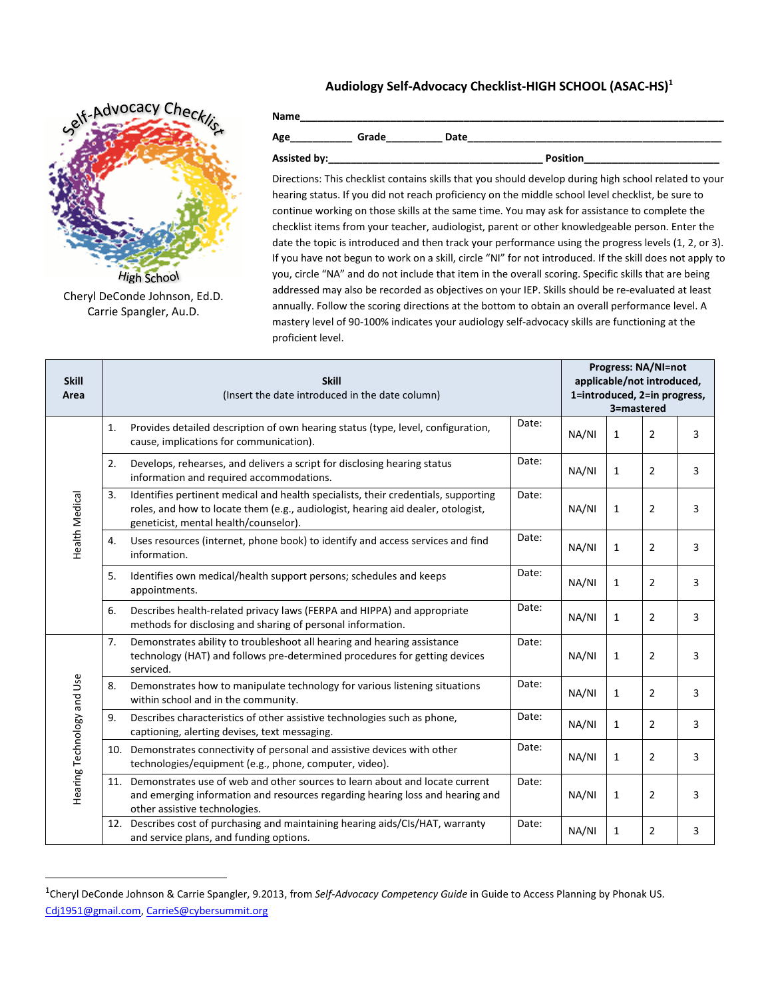## **Audiology Self-Advocacy Checklist-HIGH SCHOOL (ASAC-HS) 1**



Cheryl DeConde Johnson, Ed.D. Carrie Spangler, Au.D.

 $\overline{\phantom{a}}$ 

**Name\_\_\_\_\_\_\_\_\_\_\_\_\_\_\_\_\_\_\_\_\_\_\_\_\_\_\_\_\_\_\_\_\_\_\_\_\_\_\_\_\_\_\_\_\_\_\_\_\_\_\_\_\_\_\_\_\_\_\_\_\_\_\_\_\_\_\_\_\_\_\_\_\_\_\_ Age\_\_\_\_\_\_\_\_\_\_\_ Grade\_\_\_\_\_\_\_\_\_\_ Date\_\_\_\_\_\_\_\_\_\_\_\_\_\_\_\_\_\_\_\_\_\_\_\_\_\_\_\_\_\_\_\_\_\_\_\_\_\_\_\_\_\_\_\_\_**

**Assisted by:\_\_\_\_\_\_\_\_\_\_\_\_\_\_\_\_\_\_\_\_\_\_\_\_\_\_\_\_\_\_\_\_\_\_\_\_\_\_ Position\_\_\_\_\_\_\_\_\_\_\_\_\_\_\_\_\_\_\_\_\_\_\_\_**

Directions: This checklist contains skills that you should develop during high school related to your hearing status. If you did not reach proficiency on the middle school level checklist, be sure to continue working on those skills at the same time. You may ask for assistance to complete the checklist items from your teacher, audiologist, parent or other knowledgeable person. Enter the date the topic is introduced and then track your performance using the progress levels (1, 2, or 3). If you have not begun to work on a skill, circle "NI" for not introduced. If the skill does not apply to you, circle "NA" and do not include that item in the overall scoring. Specific skills that are being addressed may also be recorded as objectives on your IEP. Skills should be re-evaluated at least annually. Follow the scoring directions at the bottom to obtain an overall performance level. A mastery level of 90-100% indicates your audiology self-advocacy skills are functioning at the proficient level.

| <b>Skill</b><br>Area       | <b>Skill</b><br>(Insert the date introduced in the date column) |                                                                                                                                                                                                                 |       |       | <b>Progress: NA/NI=not</b><br>applicable/not introduced,<br>1=introduced, 2=in progress,<br>3=mastered |                |   |  |  |
|----------------------------|-----------------------------------------------------------------|-----------------------------------------------------------------------------------------------------------------------------------------------------------------------------------------------------------------|-------|-------|--------------------------------------------------------------------------------------------------------|----------------|---|--|--|
| Health Medical             | 1.                                                              | Provides detailed description of own hearing status (type, level, configuration,<br>cause, implications for communication).                                                                                     | Date: | NA/NI | 1                                                                                                      | 2              | 3 |  |  |
|                            | 2.                                                              | Develops, rehearses, and delivers a script for disclosing hearing status<br>information and required accommodations.                                                                                            | Date: | NA/NI | $\mathbf{1}$                                                                                           | $\overline{2}$ | 3 |  |  |
|                            | 3.                                                              | Identifies pertinent medical and health specialists, their credentials, supporting<br>roles, and how to locate them (e.g., audiologist, hearing aid dealer, otologist,<br>geneticist, mental health/counselor). | Date: | NA/NI | $\mathbf{1}$                                                                                           | $\overline{2}$ | 3 |  |  |
|                            | 4.                                                              | Uses resources (internet, phone book) to identify and access services and find<br>information.                                                                                                                  | Date: | NA/NI | $\mathbf{1}$                                                                                           | $\overline{2}$ | 3 |  |  |
|                            | 5.                                                              | Identifies own medical/health support persons; schedules and keeps<br>appointments.                                                                                                                             | Date: | NA/NI | $\mathbf{1}$                                                                                           | $\overline{2}$ | 3 |  |  |
|                            | 6.                                                              | Describes health-related privacy laws (FERPA and HIPPA) and appropriate<br>methods for disclosing and sharing of personal information.                                                                          | Date: | NA/NI | $\mathbf{1}$                                                                                           | $\overline{2}$ | 3 |  |  |
| Hearing Technology and Use | 7.                                                              | Demonstrates ability to troubleshoot all hearing and hearing assistance<br>technology (HAT) and follows pre-determined procedures for getting devices<br>serviced.                                              | Date: | NA/NI | $\mathbf{1}$                                                                                           | $\overline{2}$ | 3 |  |  |
|                            | 8.                                                              | Demonstrates how to manipulate technology for various listening situations<br>within school and in the community.                                                                                               | Date: | NA/NI | $\mathbf{1}$                                                                                           | $\overline{2}$ | 3 |  |  |
|                            | 9.                                                              | Describes characteristics of other assistive technologies such as phone,<br>captioning, alerting devises, text messaging.                                                                                       | Date: | NA/NI | $\mathbf{1}$                                                                                           | $\overline{2}$ | 3 |  |  |
|                            |                                                                 | 10. Demonstrates connectivity of personal and assistive devices with other<br>technologies/equipment (e.g., phone, computer, video).                                                                            | Date: | NA/NI | $\mathbf{1}$                                                                                           | $\overline{2}$ | 3 |  |  |
|                            | 11.                                                             | Demonstrates use of web and other sources to learn about and locate current<br>and emerging information and resources regarding hearing loss and hearing and<br>other assistive technologies.                   | Date: | NA/NI | $\mathbf{1}$                                                                                           | $\overline{2}$ | 3 |  |  |
|                            |                                                                 | 12. Describes cost of purchasing and maintaining hearing aids/CIs/HAT, warranty<br>and service plans, and funding options.                                                                                      | Date: | NA/NI | 1                                                                                                      | $\overline{2}$ | 3 |  |  |

<sup>1</sup> Cheryl DeConde Johnson & Carrie Spangler, 9.2013, from *Self-Advocacy Competency Guide* in Guide to Access Planning by Phonak US. [Cdj1951@gmail.com,](mailto:Cdj1951@gmail.com) [CarrieS@cybersummit.org](mailto:CarrieS@cybersummit.org)